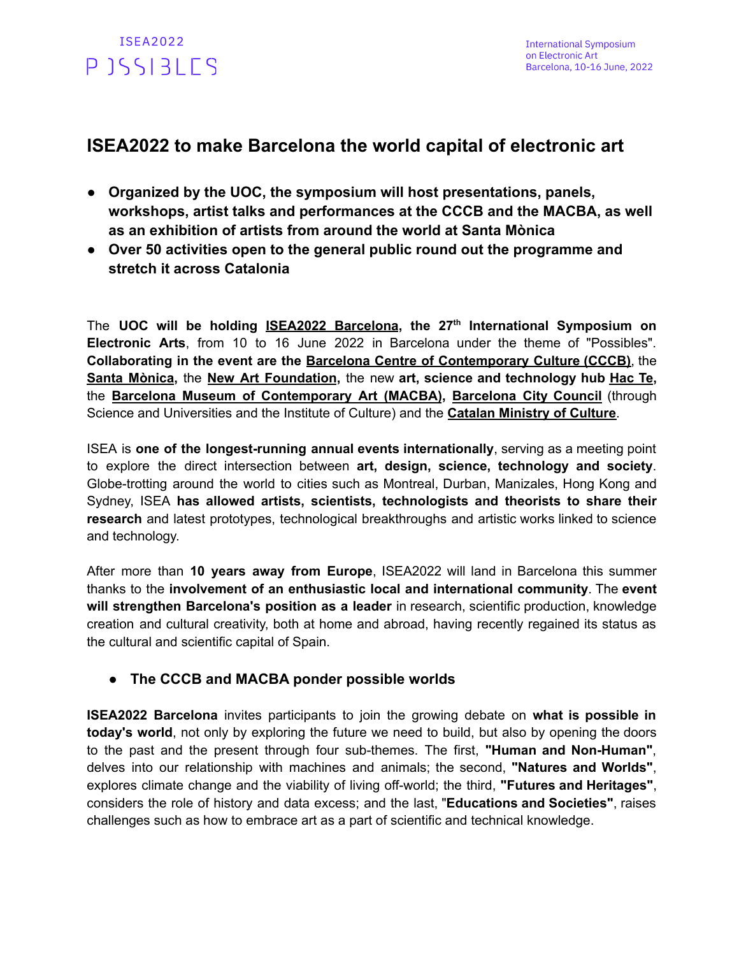

# **ISEA2022 to make Barcelona the world capital of electronic art**

- **● Organized by the UOC, the symposium will host presentations, panels, workshops, artist talks and performances at the CCCB and the MACBA, as well as an exhibition of artists from around the world at Santa Mònica**
- **● Over 50 activities open to the general public round out the programme and stretch it across Catalonia**

The **UOC will be holding ISEA2022 [Barcelona](http://isea2022.isea-international.org), the 27 th International Symposium on Electronic Arts**, from 10 to 16 June 2022 in Barcelona under the theme of "Possibles". **Collaborating in the event are the Barcelona Centre of [Contemporary](https://www.cccb.org/en) Culture (CCCB)**, the **Santa [Mònica](https://artssantamonica.gencat.cat/en/index.html),** the **New Art [Foundation](https://www.newartfoundation.art/),** the new **art, science and [technology](https://hactebcn.org/) hub [Hac](https://hactebcn.org/en/) Te,** the **[B](https://www.macba.cat/)arcelona Museum of [Contemporary](https://www.macba.cat/en) Art (MACBA), [Barcelona](https://www.barcelona.cat/en/) City Council** (through Science and Universities and the Institute of Culture) and the **[C](https://cultura.gencat.cat/ca/inici)atalan [Ministry](https://cultura.gencat.cat/en/inici/index.html) of Culture**.

ISEA is **one of the longest-running annual events internationally**, serving as a meeting point to explore the direct intersection between **art, design, science, technology and society**. Globe-trotting around the world to cities such as Montreal, Durban, Manizales, Hong Kong and Sydney, ISEA **has allowed artists, scientists, technologists and theorists to share their research** and latest prototypes, technological breakthroughs and artistic works linked to science and technology.

After more than **10 years away from Europe**, ISEA2022 will land in Barcelona this summer thanks to the **involvement of an enthusiastic local and international community**. The **event will strengthen Barcelona's position as a leader** in research, scientific production, knowledge creation and cultural creativity, both at home and abroad, having recently regained its status as the cultural and scientific capital of Spain.

## **● The CCCB and MACBA ponder possible worlds**

**ISEA2022 Barcelona** invites participants to join the growing debate on **what is possible in today's world**, not only by exploring the future we need to build, but also by opening the doors to the past and the present through four sub-themes. The first, **"Human and Non-Human"**, delves into our relationship with machines and animals; the second, **"Natures and Worlds"**, explores climate change and the viability of living off-world; the third, **"Futures and Heritages"**, considers the role of history and data excess; and the last, "**Educations and Societies"**, raises challenges such as how to embrace art as a part of scientific and technical knowledge.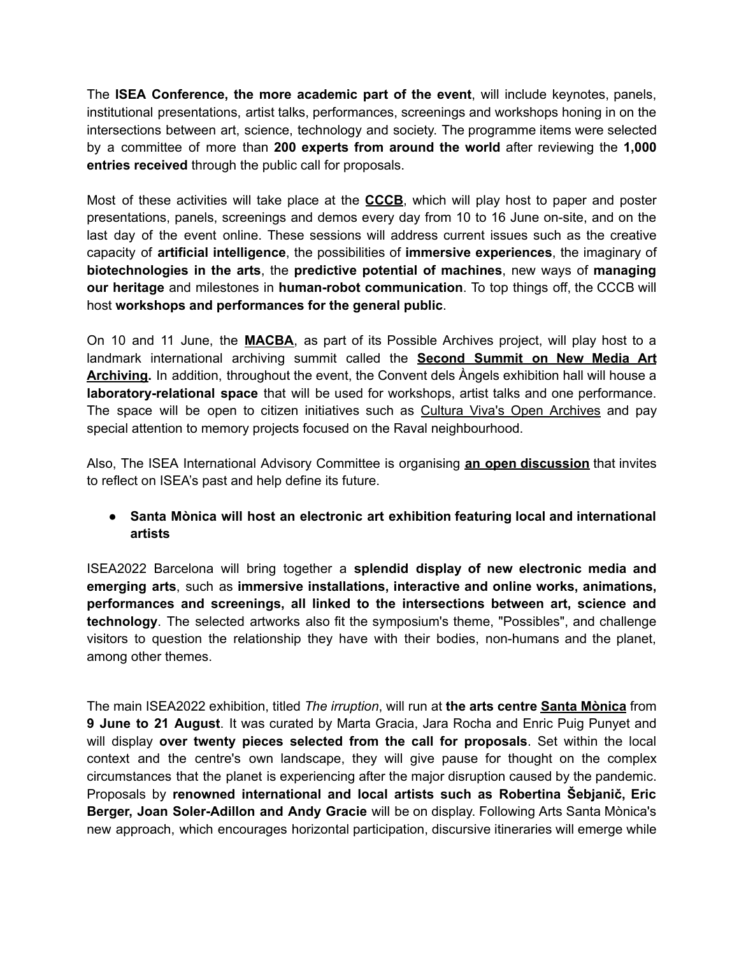The **ISEA Conference, the more academic part of the event**, will include keynotes, panels, institutional presentations, artist talks, performances, screenings and workshops honing in on the intersections between art, science, technology and society. The programme items were selected by a committee of more than **200 experts from around the world** after reviewing the **1,000 entries received** through the public call for proposals.

Most of these activities will take place at the **[CCCB](https://www.cccb.org/en)**, which will play host to paper and poster presentations, panels, screenings and demos every day from 10 to 16 June on-site, and on the last day of the event online. These sessions will address current issues such as the creative capacity of **artificial intelligence**, the possibilities of **immersive experiences**, the imaginary of **biotechnologies in the arts**, the **predictive potential of machines**, new ways of **managing our heritage** and milestones in **human-robot communication**. To top things off, the CCCB will host **workshops and performances for the general public**.

On 10 and 11 June, the **[MACBA](https://www.macba.cat/en)**, as part of its Possible Archives project, will play host to a landmark international archiving summit called the **Second [Summit](https://isea2022.isea-international.org/event/2nd-summit-on-new-media-art-archiving/) on New Media Art [Archiving.](https://isea2022.isea-international.org/event/2nd-summit-on-new-media-art-archiving/)** In addition, throughout the event, the Convent dels Àngels exhibition hall will house a **laboratory-relational space** that will be used for workshops, artist talks and one performance. The space will be open to citizen initiatives such as Cultura Viva's Open [Archives](https://www.barcelona.cat/culturaviva/es/red/comunitat-arxius-oberts) and pay special attention to memory projects focused on the Raval neighbourhood.

Also, The ISEA International Advisory Committee is organising **an open [discussion](https://isea2022.isea-international.org/event/the-isea-symposia-learning-from-the-past-looking-at-the-future/)** that invites to reflect on ISEA's past and help define its future.

#### **● Santa Mònica will host an electronic art exhibition featuring local and international artists**

ISEA2022 Barcelona will bring together a **splendid display of new electronic media and emerging arts**, such as **immersive installations, interactive and online works, animations, performances and screenings, all linked to the intersections between art, science and technology**. The selected artworks also fit the symposium's theme, "Possibles", and challenge visitors to question the relationship they have with their bodies, non-humans and the planet, among other themes.

The main ISEA2022 exhibition, titled *The irruption*, will run at **the arts centre Santa [Mònica](https://artssantamonica.gencat.cat/en/index.html)** from **9 June to 21 August**. It was curated by Marta Gracia, Jara Rocha and Enric Puig Punyet and will display **over twenty pieces selected from the call for proposals**. Set within the local context and the centre's own landscape, they will give pause for thought on the complex circumstances that the planet is experiencing after the major disruption caused by the pandemic. Proposals by **renowned international and local artists such as Robertina Šebjanič, Eric Berger, Joan Soler-Adillon and Andy Gracie** will be on display. Following Arts Santa Mònica's new approach, which encourages horizontal participation, discursive itineraries will emerge while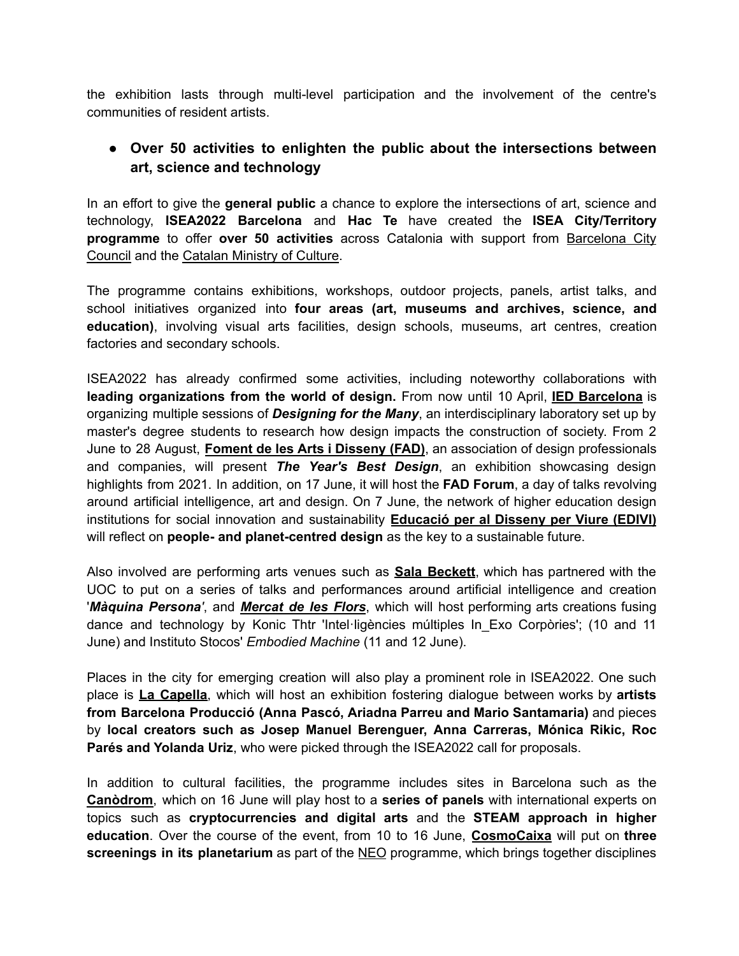the exhibition lasts through multi-level participation and the involvement of the centre's communities of resident artists.

## **● Over 50 activities to enlighten the public about the intersections between art, science and technology**

In an effort to give the **general public** a chance to explore the intersections of art, science and technology, **ISEA2022 Barcelona** and **Hac Te** have created the **ISEA City/Territory programme** to offer **over 50 activities** across Catalonia with support from [Barcelona](https://www.barcelona.cat/en/) City [Council](https://www.barcelona.cat/en/) and the [Catalan](https://web.gencat.cat/en/inici/index.html) Ministry of Culture.

The programme contains exhibitions, workshops, outdoor projects, panels, artist talks, and school initiatives organized into **four areas (art, museums and archives, science, and education)**, involving visual arts facilities, design schools, museums, art centres, creation factories and secondary schools.

ISEA2022 has already confirmed some activities, including noteworthy collaborations with **leading organizations from the world of design.** From now until 10 April, **IED [Barcelona](https://iedbarcelona.es/en/)** is organizing multiple sessions of *Designing for the Many*, an interdisciplinary laboratory set up by master's degree students to research how design impacts the construction of society. From 2 June to 28 August, **Foment de les Arts i [Disseny](https://www.fad.cat/ca) (FAD)**, an association of design professionals and companies, will present *The Year's Best Design*, an exhibition showcasing design highlights from 2021. In addition, on 17 June, it will host the **FAD Forum**, a day of talks revolving around artificial intelligence, art and design. On 7 June, the network of higher education design institutions for social innovation and sustainability **[Educació](https://www.edivi.org/) per al Disseny per Viure (EDIVI)** will reflect on **people- and planet-centred design** as the key to a sustainable future.

Also involved are performing arts venues such as **Sala [Beckett](https://www.salabeckett.cat/intercanvi/maquina-persona/)**, which has partnered with the UOC to put on a series of talks and performances around artificial intelligence and creation '*Màquina Persona'*, and *[Mercat](https://mercatflors.cat/en/) de les Flors*, which will host performing arts creations fusing dance and technology by Konic Thtr 'Intel·ligències múltiples In\_Exo Corpòries'; (10 and 11 June) and Instituto Stocos' *Embodied Machine* (11 and 12 June).

Places in the city for emerging creation will also play a prominent role in ISEA2022. One such place is **La [Capella](https://www.lacapella.barcelona/en)**, which will host an exhibition fostering dialogue between works by **artists from Barcelona Producció (Anna Pascó, Ariadna Parreu and Mario Santamaria)** and pieces by **local creators such as Josep Manuel Berenguer, Anna Carreras, Mónica Rikic, Roc Parés and Yolanda Uriz**, who were picked through the ISEA2022 call for proposals.

In addition to cultural facilities, the programme includes sites in Barcelona such as the **[Canòdrom](https://canodrom.barcelona/en)**, which on 16 June will play host to a **series of panels** with international experts on topics such as **cryptocurrencies and digital arts** and the **STEAM approach in higher education**. Over the course of the event, from 10 to 16 June, **[CosmoCaixa](https://cosmocaixa.org/c)** will put on **three screenings in its planetarium** as part of the [NEO](https://cosmocaixa.org/es/neo) programme, which brings together disciplines